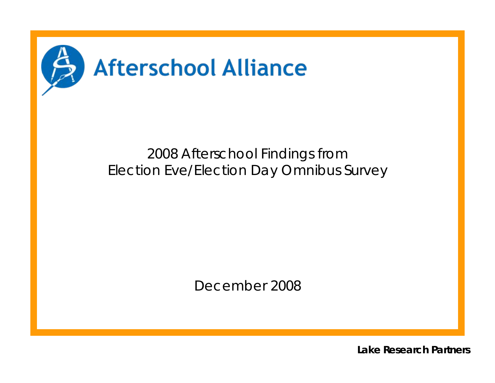

# 2008 Afterschool Findings from Election Eve/Election Day Omnibus Survey

December 2008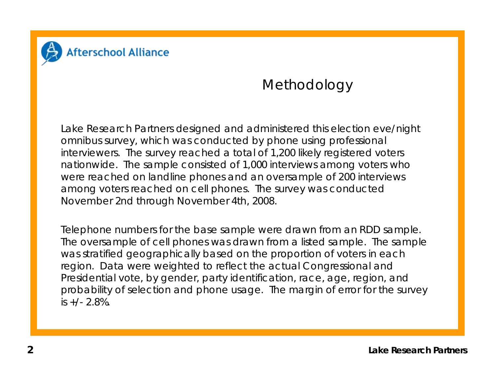

# **Methodology**

Lake Research Partners designed and administered this election eve/night omnibus survey, which was conducted by phone using professional interviewers. The survey reached a total of 1,200 likely registered voters nationwide. The sample consisted of 1,000 interviews among voters who were reached on landline phones and an oversample of 200 interviews among voters reached on cell phones. The survey was conducted November 2nd through November 4th, 2008.

Telephone numbers for the base sample were drawn from an RDD sample. The oversample of cell phones was drawn from a listed sample. The sample was stratified geographically based on the proportion of voters in each region. Data were weighted to reflect the actual Congressional and Presidential vote, by gender, party identification, race, age, region, and probability of selection and phone usage. The margin of error for the survey is +/- 2.8%.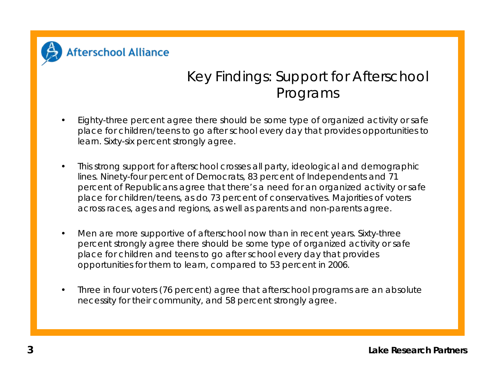

# Key Findings: Support for Afterschool Programs

- Eighty-three percent agree there should be some type of organized activity or safe place for children/teens to go after school every day that provides opportunities to learn. Sixty-six percent strongly agree.
- This strong support for afterschool crosses all party, ideological and demographic lines. Ninety-four percent of Democrats, 83 percent of Independents and 71 percent of Republicans agree that there's a need for an organized activity or safe place for children/teens, as do 73 percent of conservatives. Majorities of voters across races, ages and regions, as well as parents and non-parents agree.
- Men are more supportive of afterschool now than in recent years. Sixty-three percent strongly agree there should be some type of organized activity or safe place for children and teens to go after school every day that provides opportunities for them to learn, compared to 53 percent in 2006.
- Three in four voters (76 percent) agree that afterschool programs are an absolute necessity for their community, and 58 percent strongly agree.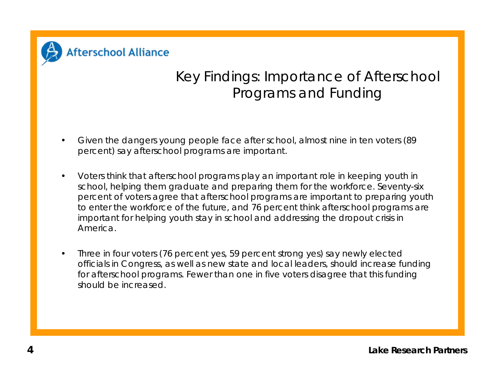

# Key Findings: Importance of Afterschool Programs and Funding

- Given the dangers young people face after school, almost nine in ten voters (89 percent) say afterschool programs are important.
- Voters think that afterschool programs play an important role in keeping youth in school, helping them graduate and preparing them for the workforce. Seventy-six percent of voters agree that afterschool programs are important to preparing youth to enter the workforce of the future, and 76 percent think afterschool programs are important for helping youth stay in school and addressing the dropout crisis in America.
- Three in four voters (76 percent yes, 59 percent strong yes) say newly elected officials in Congress, as well as new state and local leaders, should increase funding for afterschool programs. Fewer than one in five voters disagree that this funding should be increased.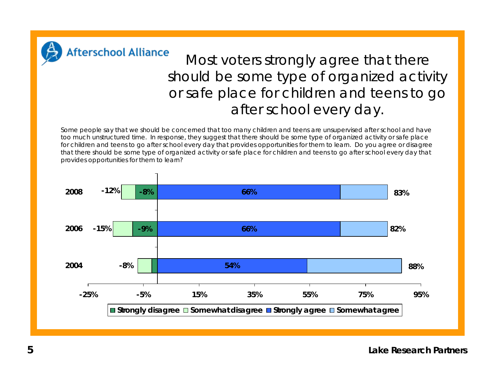

## Most voters strongly agree that there should be some type of organized activity or safe place for children and teens to go after school every day.

Some people say that we should be concerned that too many children and teens are unsupervised after school and have too much unstructured time. In response, they suggest that there should be some type of organized activity or safe place for children and teens to go after school every day that provides opportunities for them to learn. Do you agree or disagree that there should be some type of organized activity or safe place for children and teens to go after school every day that provides opportunities for them to learn?

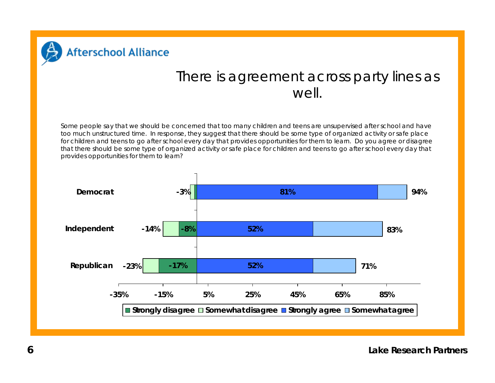

#### There is agreement across party lines as well.

Some people say that we should be concerned that too many children and teens are unsupervised after school and have too much unstructured time. In response, they suggest that there should be some type of organized activity or safe place for children and teens to go after school every day that provides opportunities for them to learn. Do you agree or disagree that there should be some type of organized activity or safe place for children and teens to go after school every day that provides opportunities for them to learn?



**6**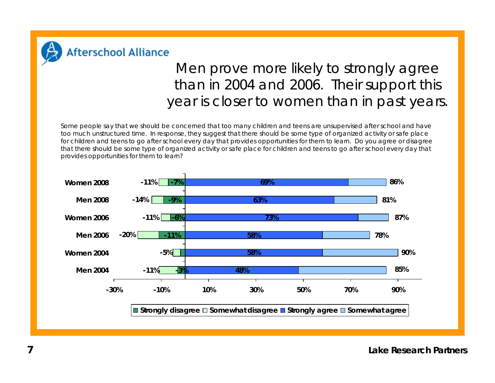

**Afterschool Alliance** 

# Men prove more likely to strongly agree than in 2004 and 2006. Their support this year is closer to women than in past years.

Some people say that we should be concerned that too many children and teens are unsupervised after school and have too much unstructured time. In response, they suggest that there should be some type of organized activity or safe place for children and teens to go after school every day that provides opportunities for them to learn. Do you agree or disagree that there should be some type of organized activity or safe place for children and teens to go after school every day that provides opportunities for them to learn?

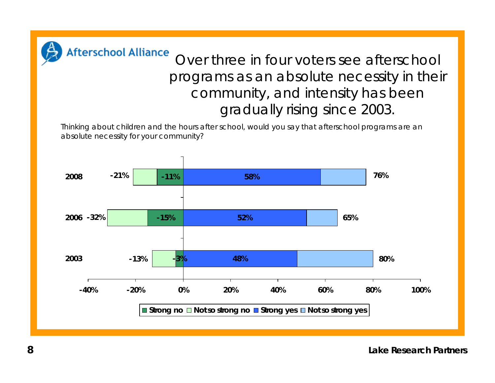

# Over three in four voters see afterschool programs as an absolute necessity in their community, and intensity has been gradually rising since 2003.

Thinking about children and the hours after school, would you say that afterschool programs are an absolute necessity for your community?

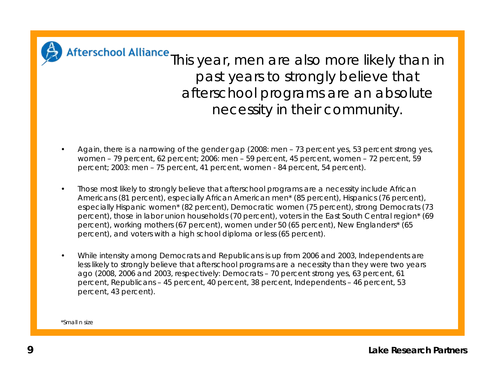

Afterschool Alliance This year, men are also more likely than in past years to strongly believe that afterschool programs are an absolute necessity in their community.

- Again, there is a narrowing of the gender gap (2008: men 73 percent yes, 53 percent strong yes, women – 79 percent, 62 percent; 2006: men – 59 percent, 45 percent, women – 72 percent, 59 percent; 2003: men – 75 percent, 41 percent, women - 84 percent, 54 percent).
- Those most likely to strongly believe that afterschool programs are a necessity include African Americans (81 percent), especially African American men\* (85 percent), Hispanics (76 percent), especially Hispanic women\* (82 percent), Democratic women (75 percent), strong Democrats (73 percent), those in labor union households (70 percent), voters in the East South Central region\* (69 percent), working mothers (67 percent), women under 50 (65 percent), New Englanders\* (65 percent), and voters with a high school diploma or less (65 percent).
- While intensity among Democrats and Republicans is up from 2006 and 2003, Independents are less likely to strongly believe that afterschool programs are a necessity than they were two years ago (2008, 2006 and 2003, respectively: Democrats – 70 percent strong yes, 63 percent, 61 percent, Republicans – 45 percent, 40 percent, 38 percent, Independents – 46 percent, 53 percent, 43 percent).

\*Small n size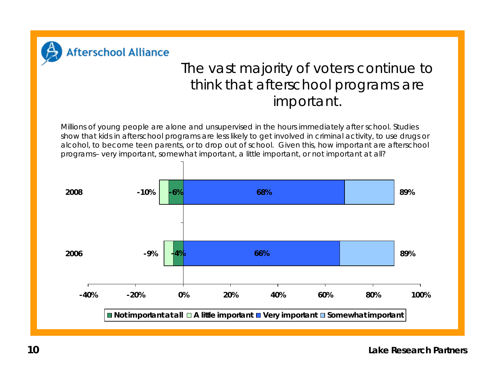

### The vast majority of voters continue to think that afterschool programs are important.

Millions of young people are alone and unsupervised in the hours immediately after school. Studies show that kids in afterschool programs are less likely to get involved in criminal activity, to use drugs or alcohol, to become teen parents, or to drop out of school. Given this, how important are afterschool programs– very important, somewhat important, a little important, or not important at all?

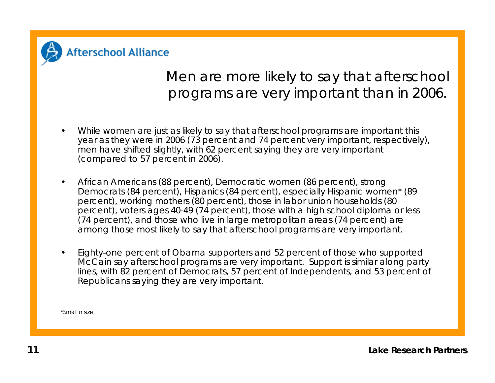

## Men are more likely to say that afterschool programs are very important than in 2006.

- While women are just as likely to say that afterschool programs are important this year as they were in 2006 (73 percent and 74 percent very important, respectively), men have shifted slightly, with 62 percent saying they are very important (compared to 57 percent in 2006).
- African Americans (88 percent), Democratic women (86 percent), strong Democrats (84 percent), Hispanics (84 percent), especially Hispanic women\* (89 percent), working mothers (80 percent), those in labor union households (80 percent), voters ages 40-49 (74 percent), those with a high school diploma or less (74 percent), and those who live in large metropolitan areas (74 percent) are among those most likely to say that afterschool programs are very important.
- Eighty-one percent of Obama supporters and 52 percent of those who supported McCain say afterschool programs are very important. Support is similar along party lines, with 82 percent of Democrats, 57 percent of Independents, and 53 percent of Republicans saying they are very important.

\*Small n size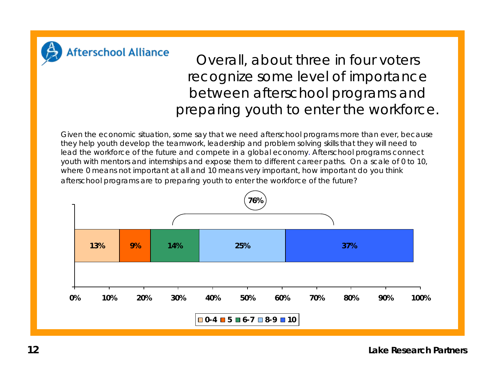

Overall, about three in four voters recognize some level of importance between afterschool programs and preparing youth to enter the workforce.

Given the economic situation, some say that we need afterschool programs more than ever, because they help youth develop the teamwork, leadership and problem solving skills that they will need to lead the workforce of the future and compete in a global economy. Afterschool programs connect youth with mentors and internships and expose them to different career paths. On a scale of 0 to 10, where 0 means not important at all and 10 means very important, how important do you think afterschool programs are to preparing youth to enter the workforce of the future?

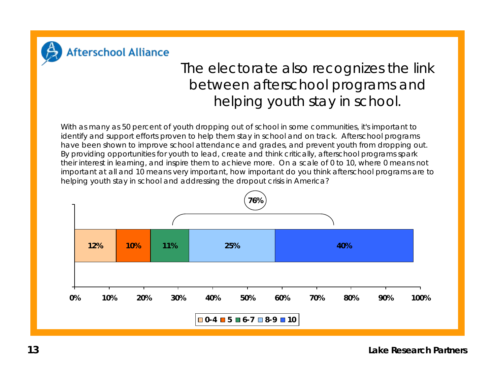

#### **Afterschool Alliance**

# The electorate also recognizes the link between afterschool programs and helping youth stay in school.

With as many as 50 percent of youth dropping out of school in some communities, it's important to identify and support efforts proven to help them stay in school and on track. Afterschool programs have been shown to improve school attendance and grades, and prevent youth from dropping out. By providing opportunities for youth to lead, create and think critically, afterschool programs spark their interest in learning, and inspire them to achieve more. On a scale of 0 to 10, where 0 means not important at all and 10 means very important, how important do you think afterschool programs are to helping youth stay in school and addressing the dropout crisis in America?

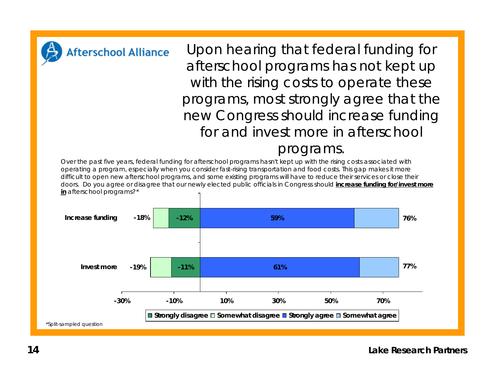

Upon hearing that federal funding for afterschool programs has not kept up with the rising costs to operate these programs, most strongly agree that the new Congress should increase funding for and invest more in afterschool

#### programs.

Over the past five years, federal funding for afterschool programs hasn't kept up with the rising costs associated with operating a program, especially when you consider fast-rising transportation and food costs. This gap makes it more difficult to open new afterschool programs, and some existing programs will have to reduce their services or close their doors. Do you agree or disagree that our newly elected public officials in Congress should **increase funding for/invest more in** afterschool programs?\*

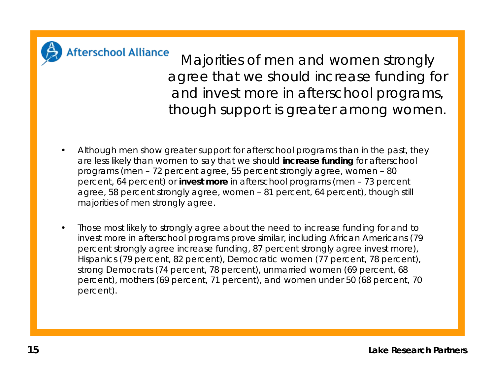

**Afterschool Alliance** 

Majorities of men and women strongly agree that we should increase funding for and invest more in afterschool programs, though support is greater among women.

- Although men show greater support for afterschool programs than in the past, they are less likely than women to say that we should **increase funding** for afterschool programs (men – 72 percent agree, 55 percent strongly agree, women – 80 percent, 64 percent) or **invest more** in afterschool programs (men – 73 percent agree, 58 percent strongly agree, women – 81 percent, 64 percent), though still majorities of men strongly agree.
- Those most likely to strongly agree about the need to increase funding for and to invest more in afterschool programs prove similar, including African Americans (79 percent strongly agree increase funding, 87 percent strongly agree invest more), Hispanics (79 percent, 82 percent), Democratic women (77 percent, 78 percent), strong Democrats (74 percent, 78 percent), unmarried women (69 percent, 68 percent), mothers (69 percent, 71 percent), and women under 50 (68 percent, 70 percent).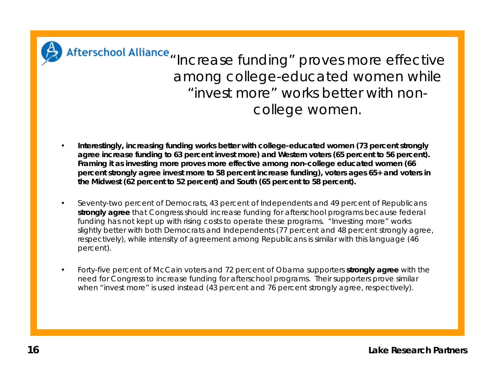

Afterschool Alliance "Increase funding" proves more effective among college-educated women while "invest more" works better with noncollege women.

- **Interestingly, increasing funding works better with college-educated women (73 percent strongly agree increase funding to 63 percent invest more) and Western voters (65 percent to 56 percent). Framing it as investing more proves more effective among non-college educated women (66 percent strongly agree invest more to 58 percent increase funding), voters ages 65+ and voters in the Midwest (62 percent to 52 percent) and South (65 percent to 58 percent).**
- Seventy-two percent of Democrats, 43 percent of Independents and 49 percent of Republicans **strongly agree** that Congress should increase funding for afterschool programs because federal funding has not kept up with rising costs to operate these programs. "Investing more" works slightly better with both Democrats and Independents (77 percent and 48 percent strongly agree, respectively), while intensity of agreement among Republicans is similar with this language (46 percent).
- Forty-five percent of McCain voters and 72 percent of Obama supporters **strongly agree** with the need for Congress to increase funding for afterschool programs. Their supporters prove similar when "invest more" is used instead (43 percent and 76 percent strongly agree, respectively).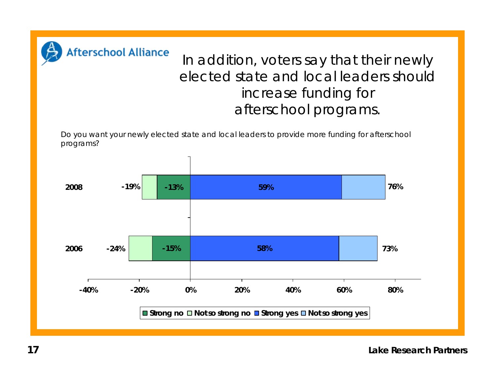

# In addition, voters say that their newly elected state and local leaders should increase funding for afterschool programs.

Do you want your newly elected state and local leaders to provide more funding for afterschool programs?

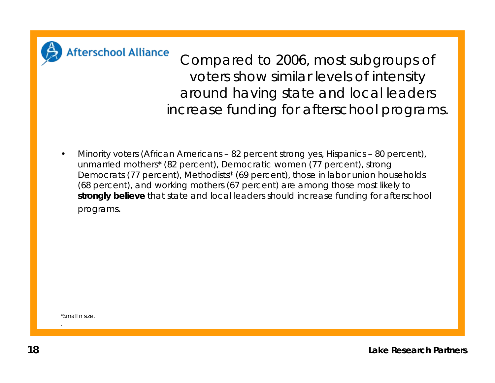

Compared to 2006, most subgroups of voters show similar levels of intensity around having state and local leaders increase funding for afterschool programs.

• Minority voters (African Americans – 82 percent strong yes, Hispanics – 80 percent), unmarried mothers\* (82 percent), Democratic women (77 percent), strong Democrats (77 percent), Methodists<sup>\*</sup> (69 percent), those in labor union households (68 percent), and working mothers (67 percent) are among those most likely to **strongly believe** that state and local leaders should increase funding for afterschool programs.

\*Small n size.